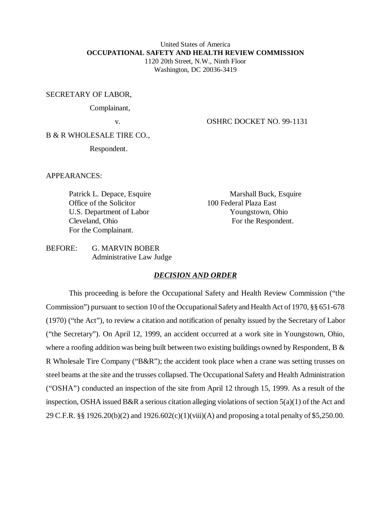# United States of America **OCCUPATIONAL SAFETY AND HEALTH REVIEW COMMISSION** 1120 20th Street, N.W., Ninth Floor

Washington, DC 20036-3419

### SECRETARY OF LABOR,

Complainant,

v. OSHRC DOCKET NO. 99-1131

B & R WHOLESALE TIRE CO.,

Respondent.

APPEARANCES:

Office of the Solicitor 100 Federal Plaza East U.S. Department of Labor Youngstown, Ohio For the Complainant.

Patrick L. Depace, Esquire Marshall Buck, Esquire Cleveland, Ohio For the Respondent.

BEFORE: G. MARVIN BOBER Administrative Law Judge

# *DECISION AND ORDER*

This proceeding is before the Occupational Safety and Health Review Commission ("the Commission") pursuant to section 10 of the Occupational Safety and Health Act of 1970, §§ 651-678 (1970) ("the Act"), to review a citation and notification of penalty issued by the Secretary of Labor ("the Secretary"). On April 12, 1999, an accident occurred at a work site in Youngstown, Ohio, where a roofing addition was being built between two existing buildings owned by Respondent, B & R Wholesale Tire Company ("B&R"); the accident took place when a crane was setting trusses on steel beams at the site and the trusses collapsed. The Occupational Safety and Health Administration ("OSHA") conducted an inspection of the site from April 12 through 15, 1999. As a result of the inspection, OSHA issued B&R a serious citation alleging violations of section 5(a)(1) of the Act and 29 C.F.R. §§ 1926.20(b)(2) and 1926.602(c)(1)(viii)(A) and proposing a total penalty of \$5,250.00.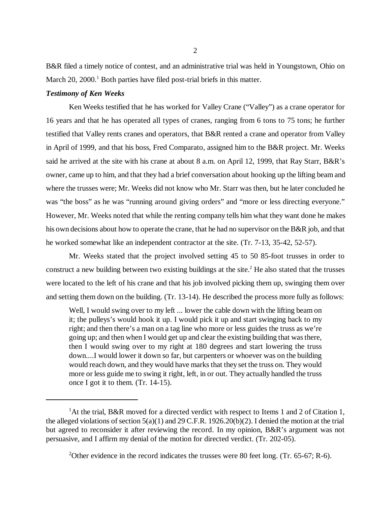B&R filed a timely notice of contest, and an administrative trial was held in Youngstown, Ohio on March 20, 2000.<sup>1</sup> Both parties have filed post-trial briefs in this matter.

#### *Testimony of Ken Weeks*

Ken Weeks testified that he has worked for Valley Crane ("Valley") as a crane operator for 16 years and that he has operated all types of cranes, ranging from 6 tons to 75 tons; he further testified that Valley rents cranes and operators, that B&R rented a crane and operator from Valley in April of 1999, and that his boss, Fred Comparato, assigned him to the B&R project. Mr. Weeks said he arrived at the site with his crane at about 8 a.m. on April 12, 1999, that Ray Starr, B&R's owner, came up to him, and that they had a brief conversation about hooking up the lifting beam and where the trusses were; Mr. Weeks did not know who Mr. Starr was then, but he later concluded he was "the boss" as he was "running around giving orders" and "more or less directing everyone." However, Mr. Weeks noted that while the renting company tells him what they want done he makes his own decisions about how to operate the crane, that he had no supervisor on the B&R job, and that he worked somewhat like an independent contractor at the site. (Tr. 7-13, 35-42, 52-57).

Mr. Weeks stated that the project involved setting 45 to 50 85-foot trusses in order to construct a new building between two existing buildings at the site.<sup>2</sup> He also stated that the trusses were located to the left of his crane and that his job involved picking them up, swinging them over and setting them down on the building. (Tr. 13-14). He described the process more fully as follows:

Well, I would swing over to my left ... lower the cable down with the lifting beam on it; the pulleys's would hook it up. I would pick it up and start swinging back to my right; and then there's a man on a tag line who more or less guides the truss as we're going up; and then when I would get up and clear the existing building that was there, then I would swing over to my right at 180 degrees and start lowering the truss down....I would lower it down so far, but carpenters or whoever was on the building would reach down, and they would have marks that they set the truss on. They would more or less guide me to swing it right, left, in or out. They actually handled the truss once I got it to them. (Tr. 14-15).

<sup>&</sup>lt;sup>1</sup>At the trial, B&R moved for a directed verdict with respect to Items 1 and 2 of Citation 1, the alleged violations of section 5(a)(1) and 29 C.F.R. 1926.20(b)(2). I denied the motion at the trial but agreed to reconsider it after reviewing the record. In my opinion, B&R's argument was not persuasive, and I affirm my denial of the motion for directed verdict. (Tr. 202-05).

<sup>&</sup>lt;sup>2</sup>Other evidence in the record indicates the trusses were 80 feet long. (Tr. 65-67; R-6).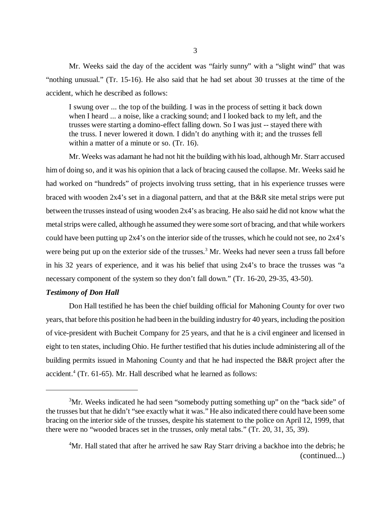Mr. Weeks said the day of the accident was "fairly sunny" with a "slight wind" that was "nothing unusual." (Tr. 15-16). He also said that he had set about 30 trusses at the time of the accident, which he described as follows:

I swung over ... the top of the building. I was in the process of setting it back down when I heard ... a noise, like a cracking sound; and I looked back to my left, and the trusses were starting a domino-effect falling down. So I was just -- stayed there with the truss. I never lowered it down. I didn't do anything with it; and the trusses fell within a matter of a minute or so. (Tr. 16).

Mr. Weeks was adamant he had not hit the building with his load, although Mr. Starr accused him of doing so, and it was his opinion that a lack of bracing caused the collapse. Mr. Weeks said he had worked on "hundreds" of projects involving truss setting, that in his experience trusses were braced with wooden 2x4's set in a diagonal pattern, and that at the B&R site metal strips were put between the trusses instead of using wooden 2x4's as bracing. He also said he did not know what the metal strips were called, although he assumed they were some sort of bracing, and that while workers could have been putting up 2x4's on the interior side of the trusses, which he could not see, no 2x4's were being put up on the exterior side of the trusses.<sup>3</sup> Mr. Weeks had never seen a truss fall before in his 32 years of experience, and it was his belief that using 2x4's to brace the trusses was "a necessary component of the system so they don't fall down." (Tr. 16-20, 29-35, 43-50).

### *Testimony of Don Hall*

Don Hall testified he has been the chief building official for Mahoning County for over two years, that before this position he had been in the building industry for 40 years, including the position of vice-president with Bucheit Company for 25 years, and that he is a civil engineer and licensed in eight to ten states, including Ohio. He further testified that his duties include administering all of the building permits issued in Mahoning County and that he had inspected the B&R project after the accident.<sup>4</sup> (Tr. 61-65). Mr. Hall described what he learned as follows:

 $3$ Mr. Weeks indicated he had seen "somebody putting something up" on the "back side" of the trusses but that he didn't "see exactly what it was." He also indicated there could have been some bracing on the interior side of the trusses, despite his statement to the police on April 12, 1999, that there were no "wooded braces set in the trusses, only metal tabs." (Tr. 20, 31, 35, 39).

<sup>&</sup>lt;sup>4</sup>Mr. Hall stated that after he arrived he saw Ray Starr driving a backhoe into the debris; he (continued...)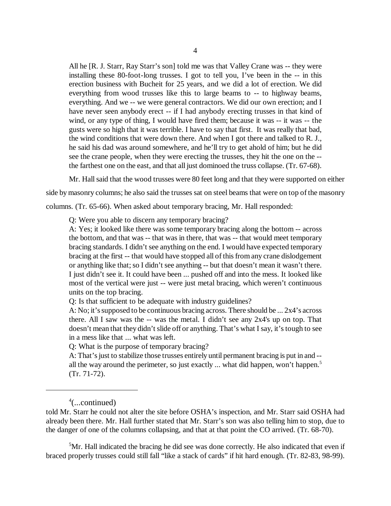All he [R. J. Starr, Ray Starr's son] told me was that Valley Crane was -- they were installing these 80-foot-long trusses. I got to tell you, I've been in the -- in this erection business with Bucheit for 25 years, and we did a lot of erection. We did everything from wood trusses like this to large beams to -- to highway beams, everything. And we -- we were general contractors. We did our own erection; and I have never seen anybody erect -- if I had anybody erecting trusses in that kind of wind, or any type of thing, I would have fired them; because it was -- it was -- the gusts were so high that it was terrible. I have to say that first. It was really that bad, the wind conditions that were down there. And when I got there and talked to R. J., he said his dad was around somewhere, and he'll try to get ahold of him; but he did see the crane people, when they were erecting the trusses, they hit the one on the - the farthest one on the east, and that all just dominoed the truss collapse. (Tr. 67-68).

Mr. Hall said that the wood trusses were 80 feet long and that they were supported on either

side by masonry columns; he also said the trusses sat on steel beams that were on top of the masonry

columns. (Tr. 65-66). When asked about temporary bracing, Mr. Hall responded:

Q: Were you able to discern any temporary bracing?

A: Yes; it looked like there was some temporary bracing along the bottom -- across the bottom, and that was -- that was in there, that was -- that would meet temporary bracing standards. I didn't see anything on the end. I would have expected temporary bracing at the first -- that would have stopped all of this from any crane dislodgement or anything like that; so I didn't see anything -- but that doesn't mean it wasn't there. I just didn't see it. It could have been ... pushed off and into the mess. It looked like most of the vertical were just -- were just metal bracing, which weren't continuous units on the top bracing.

Q: Is that sufficient to be adequate with industry guidelines?

A: No; it's supposed to be continuous bracing across. There should be ... 2x4's across there. All I saw was the -- was the metal. I didn't see any 2x4's up on top. That doesn't mean that they didn't slide off or anything. That's what I say, it's tough to see in a mess like that ... what was left.

Q: What is the purpose of temporary bracing?

A: That's just to stabilize those trusses entirely until permanent bracing is put in and - all the way around the perimeter, so just exactly ... what did happen, won't happen.<sup>5</sup> (Tr. 71-72).

<sup>5</sup>Mr. Hall indicated the bracing he did see was done correctly. He also indicated that even if braced properly trusses could still fall "like a stack of cards" if hit hard enough. (Tr. 82-83, 98-99).

<sup>4</sup> (...continued)

told Mr. Starr he could not alter the site before OSHA's inspection, and Mr. Starr said OSHA had already been there. Mr. Hall further stated that Mr. Starr's son was also telling him to stop, due to the danger of one of the columns collapsing, and that at that point the CO arrived. (Tr. 68-70).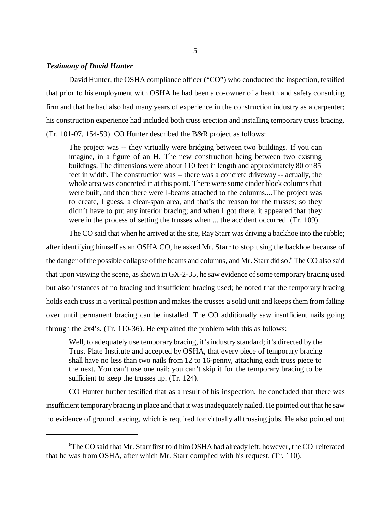# *Testimony of David Hunter*

David Hunter, the OSHA compliance officer ("CO") who conducted the inspection, testified that prior to his employment with OSHA he had been a co-owner of a health and safety consulting firm and that he had also had many years of experience in the construction industry as a carpenter; his construction experience had included both truss erection and installing temporary truss bracing.

(Tr. 101-07, 154-59). CO Hunter described the B&R project as follows:

The project was -- they virtually were bridging between two buildings. If you can imagine, in a figure of an H. The new construction being between two existing buildings. The dimensions were about 110 feet in length and approximately 80 or 85 feet in width. The construction was -- there was a concrete driveway -- actually, the whole area was concreted in at this point. There were some cinder block columns that were built, and then there were I-beams attached to the columns....The project was to create, I guess, a clear-span area, and that's the reason for the trusses; so they didn't have to put any interior bracing; and when I got there, it appeared that they were in the process of setting the trusses when ... the accident occurred. (Tr. 109).

The CO said that when he arrived at the site, Ray Starr was driving a backhoe into the rubble; after identifying himself as an OSHA CO, he asked Mr. Starr to stop using the backhoe because of the danger of the possible collapse of the beams and columns, and Mr. Starr did so.<sup>6</sup> The CO also said that upon viewing the scene, as shown in GX-2-35, he saw evidence of some temporary bracing used but also instances of no bracing and insufficient bracing used; he noted that the temporary bracing holds each truss in a vertical position and makes the trusses a solid unit and keeps them from falling over until permanent bracing can be installed. The CO additionally saw insufficient nails going through the 2x4's. (Tr. 110-36). He explained the problem with this as follows:

Well, to adequately use temporary bracing, it's industry standard; it's directed by the Trust Plate Institute and accepted by OSHA, that every piece of temporary bracing shall have no less than two nails from 12 to 16-penny, attaching each truss piece to the next. You can't use one nail; you can't skip it for the temporary bracing to be sufficient to keep the trusses up. (Tr. 124).

CO Hunter further testified that as a result of his inspection, he concluded that there was insufficient temporary bracing in place and that it was inadequately nailed. He pointed out that he saw no evidence of ground bracing, which is required for virtually all trussing jobs. He also pointed out

<sup>&</sup>lt;sup>6</sup>The CO said that Mr. Starr first told him OSHA had already left; however, the CO reiterated that he was from OSHA, after which Mr. Starr complied with his request. (Tr. 110).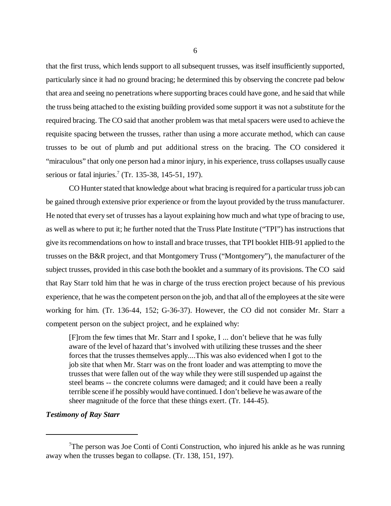that the first truss, which lends support to all subsequent trusses, was itself insufficiently supported, particularly since it had no ground bracing; he determined this by observing the concrete pad below that area and seeing no penetrations where supporting braces could have gone, and he said that while the truss being attached to the existing building provided some support it was not a substitute for the required bracing. The CO said that another problem was that metal spacers were used to achieve the requisite spacing between the trusses, rather than using a more accurate method, which can cause trusses to be out of plumb and put additional stress on the bracing. The CO considered it "miraculous" that only one person had a minor injury, in his experience, truss collapses usually cause serious or fatal injuries.<sup>7</sup> (Tr. 135-38, 145-51, 197).

CO Hunter stated that knowledge about what bracing is required for a particular truss job can be gained through extensive prior experience or from the layout provided by the truss manufacturer. He noted that every set of trusses has a layout explaining how much and what type of bracing to use, as well as where to put it; he further noted that the Truss Plate Institute ("TPI") has instructions that give its recommendations on how to install and brace trusses, that TPI booklet HIB-91 applied to the trusses on the B&R project, and that Montgomery Truss ("Montgomery"), the manufacturer of the subject trusses, provided in this case both the booklet and a summary of its provisions. The CO said that Ray Starr told him that he was in charge of the truss erection project because of his previous experience, that he was the competent person on the job, and that all of the employees at the site were working for him. (Tr. 136-44, 152; G-36-37). However, the CO did not consider Mr. Starr a competent person on the subject project, and he explained why:

[F]rom the few times that Mr. Starr and I spoke, I ... don't believe that he was fully aware of the level of hazard that's involved with utilizing these trusses and the sheer forces that the trusses themselves apply....This was also evidenced when I got to the job site that when Mr. Starr was on the front loader and was attempting to move the trusses that were fallen out of the way while they were still suspended up against the steel beams -- the concrete columns were damaged; and it could have been a really terrible scene if he possibly would have continued. I don't believe he was aware of the sheer magnitude of the force that these things exert. (Tr. 144-45).

# *Testimony of Ray Starr*

<sup>&</sup>lt;sup>7</sup>The person was Joe Conti of Conti Construction, who injured his ankle as he was running away when the trusses began to collapse. (Tr. 138, 151, 197).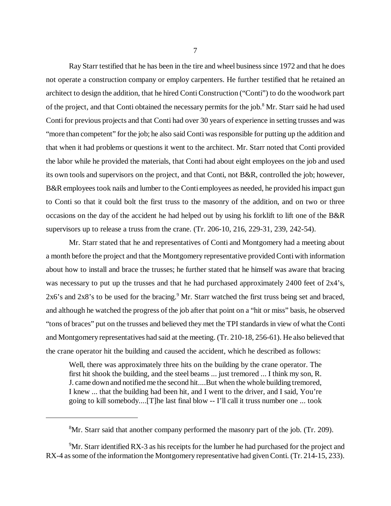Ray Starr testified that he has been in the tire and wheel business since 1972 and that he does not operate a construction company or employ carpenters. He further testified that he retained an architect to design the addition, that he hired Conti Construction ("Conti") to do the woodwork part of the project, and that Conti obtained the necessary permits for the job.<sup>8</sup> Mr. Starr said he had used Conti for previous projects and that Conti had over 30 years of experience in setting trusses and was "more than competent" for the job; he also said Conti was responsible for putting up the addition and that when it had problems or questions it went to the architect. Mr. Starr noted that Conti provided the labor while he provided the materials, that Conti had about eight employees on the job and used its own tools and supervisors on the project, and that Conti, not B&R, controlled the job; however, B&R employees took nails and lumber to the Conti employees as needed, he provided his impact gun to Conti so that it could bolt the first truss to the masonry of the addition, and on two or three occasions on the day of the accident he had helped out by using his forklift to lift one of the B&R supervisors up to release a truss from the crane. (Tr. 206-10, 216, 229-31, 239, 242-54).

Mr. Starr stated that he and representatives of Conti and Montgomery had a meeting about a month before the project and that the Montgomery representative provided Conti with information about how to install and brace the trusses; he further stated that he himself was aware that bracing was necessary to put up the trusses and that he had purchased approximately 2400 feet of 2x4's, 2x6's and 2x8's to be used for the bracing.<sup>9</sup> Mr. Starr watched the first truss being set and braced, and although he watched the progress of the job after that point on a "hit or miss" basis, he observed "tons of braces" put on the trusses and believed they met the TPI standards in view of what the Conti and Montgomery representatives had said at the meeting. (Tr. 210-18, 256-61). He also believed that the crane operator hit the building and caused the accident, which he described as follows:

Well, there was approximately three hits on the building by the crane operator. The first hit shook the building, and the steel beams ... just tremored ... I think my son, R. J. came down and notified me the second hit....But when the whole building tremored, I knew ... that the building had been hit, and I went to the driver, and I said, You're going to kill somebody....[T]he last final blow -- I'll call it truss number one ... took

 ${}^{8}$ Mr. Starr said that another company performed the masonry part of the job. (Tr. 209).

 $9$ Mr. Starr identified RX-3 as his receipts for the lumber he had purchased for the project and RX-4 as some of the information the Montgomery representative had given Conti. (Tr. 214-15, 233).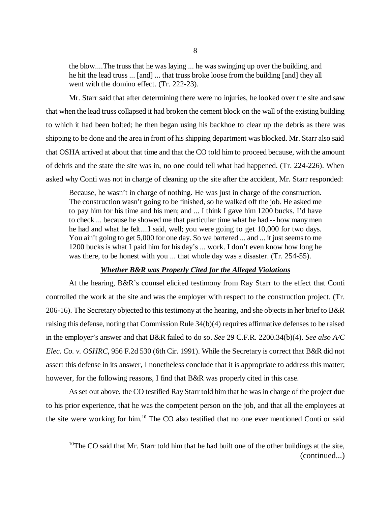the blow....The truss that he was laying ... he was swinging up over the building, and he hit the lead truss ... [and] ... that truss broke loose from the building [and] they all went with the domino effect. (Tr. 222-23).

Mr. Starr said that after determining there were no injuries, he looked over the site and saw that when the lead truss collapsed it had broken the cement block on the wall of the existing building to which it had been bolted; he then began using his backhoe to clear up the debris as there was shipping to be done and the area in front of his shipping department was blocked. Mr. Starr also said that OSHA arrived at about that time and that the CO told him to proceed because, with the amount of debris and the state the site was in, no one could tell what had happened. (Tr. 224-226). When asked why Conti was not in charge of cleaning up the site after the accident, Mr. Starr responded:

Because, he wasn't in charge of nothing. He was just in charge of the construction. The construction wasn't going to be finished, so he walked off the job. He asked me to pay him for his time and his men; and ... I think I gave him 1200 bucks. I'd have to check ... because he showed me that particular time what he had -- how many men he had and what he felt....I said, well; you were going to get 10,000 for two days. You ain't going to get 5,000 for one day. So we bartered ... and ... it just seems to me 1200 bucks is what I paid him for his day's ... work. I don't even know how long he was there, to be honest with you ... that whole day was a disaster. (Tr. 254-55).

#### *Whether B&R was Properly Cited for the Alleged Violations*

At the hearing, B&R's counsel elicited testimony from Ray Starr to the effect that Conti controlled the work at the site and was the employer with respect to the construction project. (Tr. 206-16). The Secretary objected to this testimony at the hearing, and she objects in her brief to B&R raising this defense, noting that Commission Rule 34(b)(4) requires affirmative defenses to be raised in the employer's answer and that B&R failed to do so. *See* 29 C.F.R. 2200.34(b)(4). *See also A/C Elec. Co. v. OSHRC*, 956 F.2d 530 (6th Cir. 1991). While the Secretary is correct that B&R did not assert this defense in its answer, I nonetheless conclude that it is appropriate to address this matter; however, for the following reasons, I find that B&R was properly cited in this case.

As set out above, the CO testified Ray Starr told him that he was in charge of the project due to his prior experience, that he was the competent person on the job, and that all the employees at the site were working for him.10 The CO also testified that no one ever mentioned Conti or said

 $10$ The CO said that Mr. Starr told him that he had built one of the other buildings at the site, (continued...)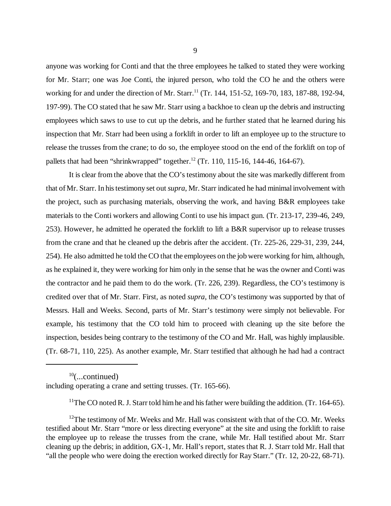anyone was working for Conti and that the three employees he talked to stated they were working for Mr. Starr; one was Joe Conti, the injured person, who told the CO he and the others were working for and under the direction of Mr. Starr.<sup>11</sup> (Tr. 144, 151-52, 169-70, 183, 187-88, 192-94, 197-99). The CO stated that he saw Mr. Starr using a backhoe to clean up the debris and instructing employees which saws to use to cut up the debris, and he further stated that he learned during his inspection that Mr. Starr had been using a forklift in order to lift an employee up to the structure to release the trusses from the crane; to do so, the employee stood on the end of the forklift on top of pallets that had been "shrinkwrapped" together.<sup>12</sup> (Tr. 110, 115-16, 144-46, 164-67).

It is clear from the above that the CO's testimony about the site was markedly different from that of Mr. Starr. In his testimony set out *supra*, Mr. Starr indicated he had minimal involvement with the project, such as purchasing materials, observing the work, and having B&R employees take materials to the Conti workers and allowing Conti to use his impact gun. (Tr. 213-17, 239-46, 249, 253). However, he admitted he operated the forklift to lift a B&R supervisor up to release trusses from the crane and that he cleaned up the debris after the accident. (Tr. 225-26, 229-31, 239, 244, 254). He also admitted he told the CO that the employees on the job were working for him, although, as he explained it, they were working for him only in the sense that he was the owner and Conti was the contractor and he paid them to do the work. (Tr. 226, 239). Regardless, the CO's testimony is credited over that of Mr. Starr. First, as noted *supra*, the CO's testimony was supported by that of Messrs. Hall and Weeks. Second, parts of Mr. Starr's testimony were simply not believable. For example, his testimony that the CO told him to proceed with cleaning up the site before the inspection, besides being contrary to the testimony of the CO and Mr. Hall, was highly implausible. (Tr. 68-71, 110, 225). As another example, Mr. Starr testified that although he had had a contract

 $10$ (...continued) including operating a crane and setting trusses. (Tr. 165-66).

<sup>11</sup>The CO noted R. J. Starr told him he and his father were building the addition. (Tr. 164-65).

 $12$ The testimony of Mr. Weeks and Mr. Hall was consistent with that of the CO. Mr. Weeks testified about Mr. Starr "more or less directing everyone" at the site and using the forklift to raise the employee up to release the trusses from the crane, while Mr. Hall testified about Mr. Starr cleaning up the debris; in addition, GX-1, Mr. Hall's report, states that R. J. Starr told Mr. Hall that "all the people who were doing the erection worked directly for Ray Starr." (Tr. 12, 20-22, 68-71).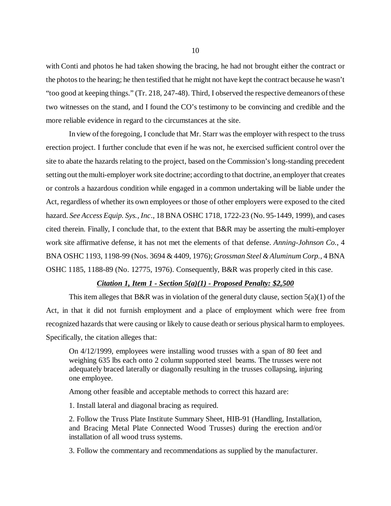with Conti and photos he had taken showing the bracing, he had not brought either the contract or the photos to the hearing; he then testified that he might not have kept the contract because he wasn't "too good at keeping things." (Tr. 218, 247-48). Third, I observed the respective demeanors of these two witnesses on the stand, and I found the CO's testimony to be convincing and credible and the more reliable evidence in regard to the circumstances at the site.

In view of the foregoing, I conclude that Mr. Starr was the employer with respect to the truss erection project. I further conclude that even if he was not, he exercised sufficient control over the site to abate the hazards relating to the project, based on the Commission's long-standing precedent setting out the multi-employer work site doctrine; according to that doctrine, an employer that creates or controls a hazardous condition while engaged in a common undertaking will be liable under the Act, regardless of whether its own employees or those of other employers were exposed to the cited hazard. *See Access Equip. Sys., Inc*., 18 BNA OSHC 1718, 1722-23 (No. 95-1449, 1999), and cases cited therein. Finally, I conclude that, to the extent that B&R may be asserting the multi-employer work site affirmative defense, it has not met the elements of that defense. *Anning-Johnson Co.*, 4 BNA OSHC 1193, 1198-99 (Nos. 3694 & 4409, 1976); *Grossman Steel & Aluminum Corp.*, 4 BNA OSHC 1185, 1188-89 (No. 12775, 1976). Consequently, B&R was properly cited in this case.

#### *Citation 1, Item 1 - Section 5(a)(1) - Proposed Penalty: \$2,500*

This item alleges that B&R was in violation of the general duty clause, section  $5(a)(1)$  of the Act, in that it did not furnish employment and a place of employment which were free from recognized hazards that were causing or likely to cause death or serious physical harm to employees. Specifically, the citation alleges that:

On 4/12/1999, employees were installing wood trusses with a span of 80 feet and weighing 635 lbs each onto 2 column supported steel beams. The trusses were not adequately braced laterally or diagonally resulting in the trusses collapsing, injuring one employee.

Among other feasible and acceptable methods to correct this hazard are:

1. Install lateral and diagonal bracing as required.

2. Follow the Truss Plate Institute Summary Sheet, HIB-91 (Handling, Installation, and Bracing Metal Plate Connected Wood Trusses) during the erection and/or installation of all wood truss systems.

3. Follow the commentary and recommendations as supplied by the manufacturer.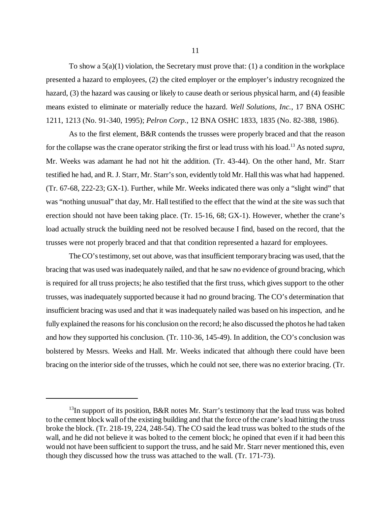To show a  $5(a)(1)$  violation, the Secretary must prove that: (1) a condition in the workplace presented a hazard to employees, (2) the cited employer or the employer's industry recognized the hazard, (3) the hazard was causing or likely to cause death or serious physical harm, and (4) feasible means existed to eliminate or materially reduce the hazard. *Well Solutions, Inc.*, 17 BNA OSHC 1211, 1213 (No. 91-340, 1995); *Pelron Corp.*, 12 BNA OSHC 1833, 1835 (No. 82-388, 1986).

As to the first element, B&R contends the trusses were properly braced and that the reason for the collapse was the crane operator striking the first or lead truss with his load.13 As noted *supra*, Mr. Weeks was adamant he had not hit the addition. (Tr. 43-44). On the other hand, Mr. Starr testified he had, and R. J. Starr, Mr. Starr's son, evidently told Mr. Hall this was what had happened. (Tr. 67-68, 222-23; GX-1). Further, while Mr. Weeks indicated there was only a "slight wind" that was "nothing unusual" that day, Mr. Hall testified to the effect that the wind at the site was such that erection should not have been taking place. (Tr. 15-16, 68; GX-1). However, whether the crane's load actually struck the building need not be resolved because I find, based on the record, that the trusses were not properly braced and that that condition represented a hazard for employees.

The CO's testimony, set out above, was that insufficient temporary bracing was used, that the bracing that was used was inadequately nailed, and that he saw no evidence of ground bracing, which is required for all truss projects; he also testified that the first truss, which gives support to the other trusses, was inadequately supported because it had no ground bracing. The CO's determination that insufficient bracing was used and that it was inadequately nailed was based on his inspection, and he fully explained the reasons for his conclusion on the record; he also discussed the photos he had taken and how they supported his conclusion. (Tr. 110-36, 145-49). In addition, the CO's conclusion was bolstered by Messrs. Weeks and Hall. Mr. Weeks indicated that although there could have been bracing on the interior side of the trusses, which he could not see, there was no exterior bracing. (Tr.

 $13$ In support of its position, B&R notes Mr. Starr's testimony that the lead truss was bolted to the cement block wall of the existing building and that the force of the crane's load hitting the truss broke the block. (Tr. 218-19, 224, 248-54). The CO said the lead truss was bolted to the studs of the wall, and he did not believe it was bolted to the cement block; he opined that even if it had been this would not have been sufficient to support the truss, and he said Mr. Starr never mentioned this, even though they discussed how the truss was attached to the wall. (Tr. 171-73).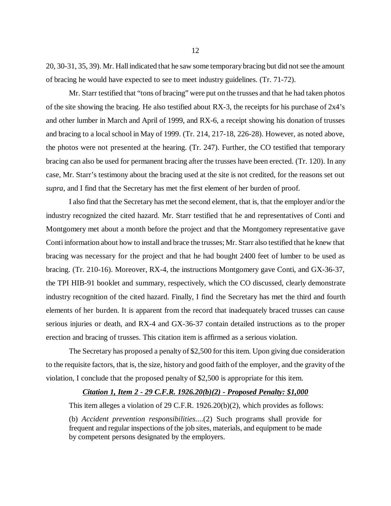20, 30-31, 35, 39). Mr. Hall indicated that he saw some temporary bracing but did not see the amount of bracing he would have expected to see to meet industry guidelines. (Tr. 71-72).

Mr. Starr testified that "tons of bracing" were put on the trusses and that he had taken photos of the site showing the bracing. He also testified about RX-3, the receipts for his purchase of 2x4's and other lumber in March and April of 1999, and RX-6, a receipt showing his donation of trusses and bracing to a local school in May of 1999. (Tr. 214, 217-18, 226-28). However, as noted above, the photos were not presented at the hearing. (Tr. 247). Further, the CO testified that temporary bracing can also be used for permanent bracing after the trusses have been erected. (Tr. 120). In any case, Mr. Starr's testimony about the bracing used at the site is not credited, for the reasons set out *supra*, and I find that the Secretary has met the first element of her burden of proof.

I also find that the Secretary has met the second element, that is, that the employer and/or the industry recognized the cited hazard. Mr. Starr testified that he and representatives of Conti and Montgomery met about a month before the project and that the Montgomery representative gave Conti information about how to install and brace the trusses; Mr. Starr also testified that he knew that bracing was necessary for the project and that he had bought 2400 feet of lumber to be used as bracing. (Tr. 210-16). Moreover, RX-4, the instructions Montgomery gave Conti, and GX-36-37, the TPI HIB-91 booklet and summary, respectively, which the CO discussed, clearly demonstrate industry recognition of the cited hazard. Finally, I find the Secretary has met the third and fourth elements of her burden. It is apparent from the record that inadequately braced trusses can cause serious injuries or death, and RX-4 and GX-36-37 contain detailed instructions as to the proper erection and bracing of trusses. This citation item is affirmed as a serious violation.

The Secretary has proposed a penalty of \$2,500 for this item. Upon giving due consideration to the requisite factors, that is, the size, history and good faith of the employer, and the gravity of the violation, I conclude that the proposed penalty of \$2,500 is appropriate for this item.

#### *Citation 1, Item 2 - 29 C.F.R. 1926.20(b)(2) - Proposed Penalty: \$1,000*

This item alleges a violation of 29 C.F.R. 1926.20(b)(2), which provides as follows:

(b) *Accident prevention responsibilities*....(2) Such programs shall provide for frequent and regular inspections of the job sites, materials, and equipment to be made by competent persons designated by the employers.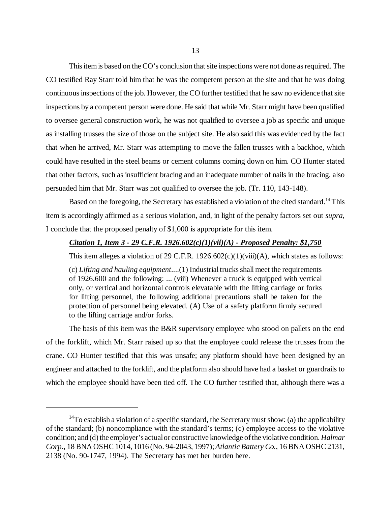This item is based on the CO's conclusion that site inspections were not done as required. The CO testified Ray Starr told him that he was the competent person at the site and that he was doing continuous inspections of the job. However, the CO further testified that he saw no evidence that site inspections by a competent person were done. He said that while Mr. Starr might have been qualified to oversee general construction work, he was not qualified to oversee a job as specific and unique as installing trusses the size of those on the subject site. He also said this was evidenced by the fact that when he arrived, Mr. Starr was attempting to move the fallen trusses with a backhoe, which could have resulted in the steel beams or cement columns coming down on him. CO Hunter stated that other factors, such as insufficient bracing and an inadequate number of nails in the bracing, also persuaded him that Mr. Starr was not qualified to oversee the job. (Tr. 110, 143-148).

Based on the foregoing, the Secretary has established a violation of the cited standard.<sup>14</sup> This item is accordingly affirmed as a serious violation, and, in light of the penalty factors set out *supra*, I conclude that the proposed penalty of \$1,000 is appropriate for this item.

## *Citation 1, Item 3 - 29 C.F.R. 1926.602(c)(1)(vii)(A) - Proposed Penalty: \$1,750*

This item alleges a violation of 29 C.F.R.  $1926.602(c)(1)(viii)(A)$ , which states as follows:

(c) *Lifting and hauling equipment*....(1) Industrial trucks shall meet the requirements of 1926.600 and the following: ... (viii) Whenever a truck is equipped with vertical only, or vertical and horizontal controls elevatable with the lifting carriage or forks for lifting personnel, the following additional precautions shall be taken for the protection of personnel being elevated. (A) Use of a safety platform firmly secured to the lifting carriage and/or forks.

The basis of this item was the B&R supervisory employee who stood on pallets on the end of the forklift, which Mr. Starr raised up so that the employee could release the trusses from the crane. CO Hunter testified that this was unsafe; any platform should have been designed by an engineer and attached to the forklift, and the platform also should have had a basket or guardrails to which the employee should have been tied off. The CO further testified that, although there was a

<sup>&</sup>lt;sup>14</sup>To establish a violation of a specific standard, the Secretary must show: (a) the applicability of the standard; (b) noncompliance with the standard's terms; (c) employee access to the violative condition; and (d) the employer's actual or constructive knowledge of the violative condition. *Halmar Corp*., 18 BNA OSHC 1014, 1016 (No. 94-2043, 1997); *Atlantic Battery Co.*, 16 BNA OSHC 2131, 2138 (No. 90-1747, 1994). The Secretary has met her burden here.